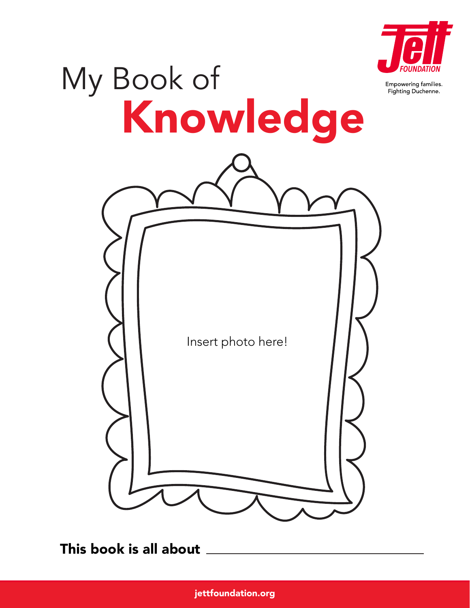

Empowering families. Fighting Duchenne.

# My Book of Insert photo here! Knowledge

This book is all about

jettfoundation.org BOOK OF KNOWLEDGE 1999 i 1999 i 1999 i 1999 i 1999 i 1999 i 1999 i 1999 i 1999 i 1999 i 199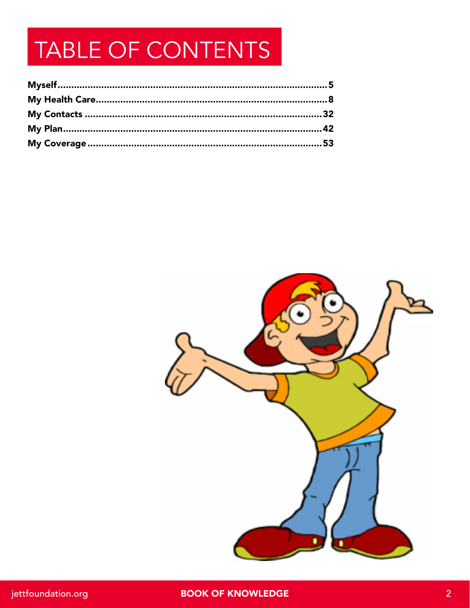## TABLE OF CONTENTS

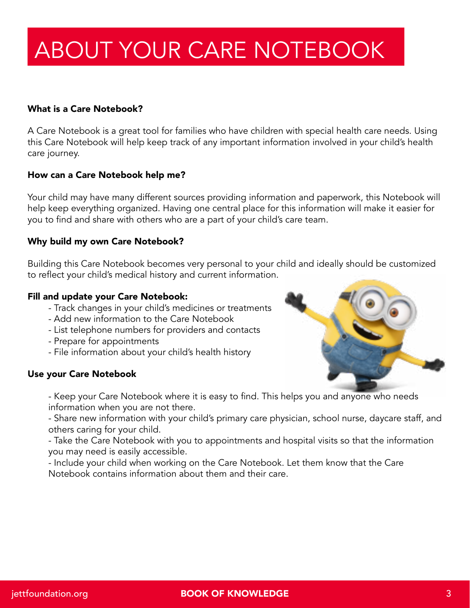## ABOUT YOUR CARE NOTEBOOK

#### What is a Care Notebook?

A Care Notebook is a great tool for families who have children with special health care needs. Using this Care Notebook will help keep track of any important information involved in your child's health care journey.

#### How can a Care Notebook help me?

Your child may have many different sources providing information and paperwork, this Notebook will help keep everything organized. Having one central place for this information will make it easier for you to find and share with others who are a part of your child's care team.

#### Why build my own Care Notebook?

Building this Care Notebook becomes very personal to your child and ideally should be customized to reflect your child's medical history and current information.

#### Fill and update your Care Notebook:

- Track changes in your child's medicines or treatments
- Add new information to the Care Notebook
- List telephone numbers for providers and contacts
- Prepare for appointments
- File information about your child's health history

#### Use your Care Notebook

- Keep your Care Notebook where it is easy to find. This helps you and anyone who needs information when you are not there.

- Share new information with your child's primary care physician, school nurse, daycare staff, and others caring for your child.

- Take the Care Notebook with you to appointments and hospital visits so that the information you may need is easily accessible.

- Include your child when working on the Care Notebook. Let them know that the Care Notebook contains information about them and their care.

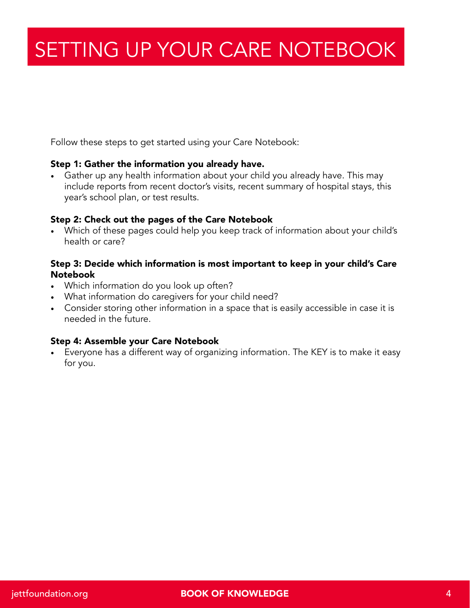### SETTING UP YOUR CARE NOTEBOOK

Follow these steps to get started using your Care Notebook:

#### Step 1: Gather the information you already have.

• Gather up any health information about your child you already have. This may include reports from recent doctor's visits, recent summary of hospital stays, this year's school plan, or test results.

#### Step 2: Check out the pages of the Care Notebook

• Which of these pages could help you keep track of information about your child's health or care?

#### Step 3: Decide which information is most important to keep in your child's Care Notebook

- Which information do you look up often?
- What information do caregivers for your child need?
- Consider storing other information in a space that is easily accessible in case it is needed in the future.

#### Step 4: Assemble your Care Notebook

• Everyone has a different way of organizing information. The KEY is to make it easy for you.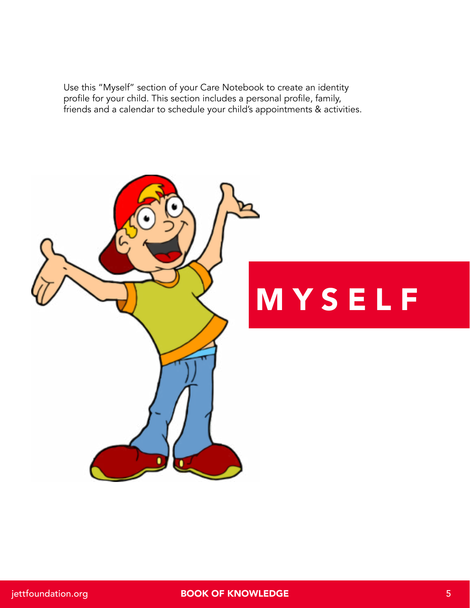Use this "Myself" section of your Care Notebook to create an identity profile for your child. This section includes a personal profile, family, friends and a calendar to schedule your child's appointments & activities.

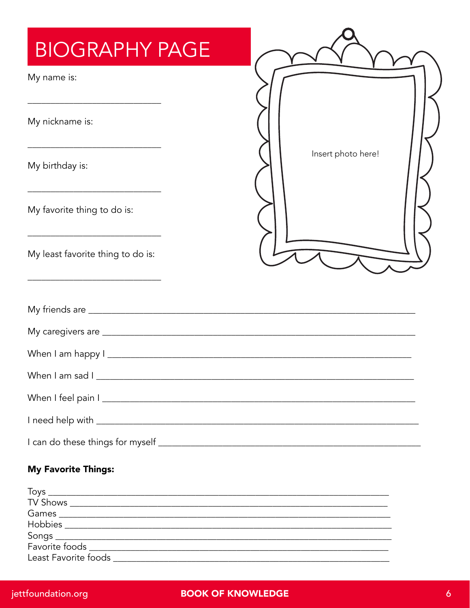| My name is:                       |                    |
|-----------------------------------|--------------------|
| My nickname is:                   |                    |
| My birthday is:                   | Insert photo here! |
| My favorite thing to do is:       |                    |
| My least favorite thing to do is: |                    |
|                                   |                    |
|                                   |                    |
| When I am happy I                 |                    |
|                                   |                    |
|                                   |                    |
|                                   |                    |
|                                   |                    |

#### Least Favorite foods and the state of the state of the state of the state of the state of the state of the state of the state of the state of the state of the state of the state of the state of the state of the state of th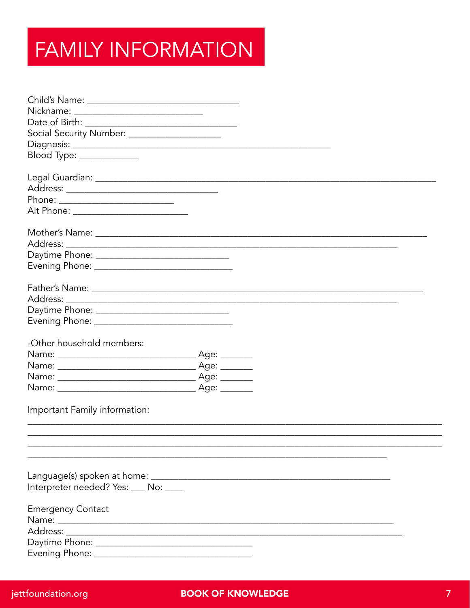## **FAMILY INFORMATION**

| Nickname: _________________________________       |  |  |
|---------------------------------------------------|--|--|
|                                                   |  |  |
| Social Security Number: _____________________     |  |  |
|                                                   |  |  |
| Blood Type: _____________                         |  |  |
|                                                   |  |  |
|                                                   |  |  |
|                                                   |  |  |
| Phone: ___________________________                |  |  |
| Alt Phone: __________________________             |  |  |
|                                                   |  |  |
|                                                   |  |  |
|                                                   |  |  |
| Daytime Phone: __________________________________ |  |  |
|                                                   |  |  |
|                                                   |  |  |
|                                                   |  |  |
|                                                   |  |  |
|                                                   |  |  |
|                                                   |  |  |
| -Other household members:                         |  |  |
|                                                   |  |  |
|                                                   |  |  |
|                                                   |  |  |
|                                                   |  |  |
|                                                   |  |  |
| Important Family information:                     |  |  |
|                                                   |  |  |
|                                                   |  |  |
|                                                   |  |  |
|                                                   |  |  |
|                                                   |  |  |
| Interpreter needed? Yes: ___ No: ____             |  |  |
|                                                   |  |  |
| <b>Emergency Contact</b>                          |  |  |
|                                                   |  |  |
|                                                   |  |  |
|                                                   |  |  |
|                                                   |  |  |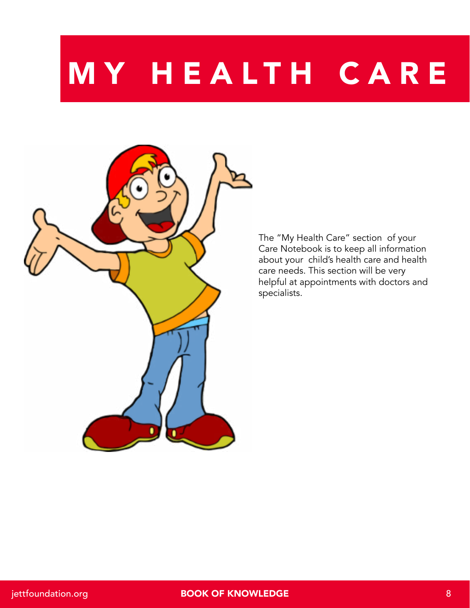## MY HEALTH CARE



The "My Health Care" section of your Care Notebook is to keep all information about your child's health care and health care needs. This section will be very helpful at appointments with doctors and specialists.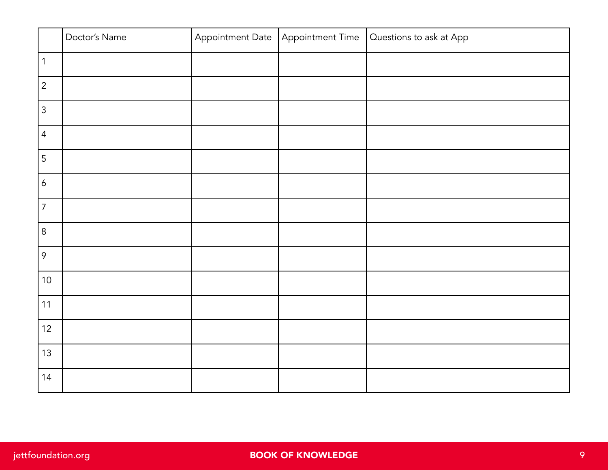|                  | Doctor's Name | Appointment Date | Appointment Time | Questions to ask at App |
|------------------|---------------|------------------|------------------|-------------------------|
| $\vert$ 1        |               |                  |                  |                         |
| $\overline{2}$   |               |                  |                  |                         |
| $\mathfrak{Z}$   |               |                  |                  |                         |
| $\overline{4}$   |               |                  |                  |                         |
| 5                |               |                  |                  |                         |
| $\boldsymbol{6}$ |               |                  |                  |                         |
| $\overline{7}$   |               |                  |                  |                         |
| $8\,$            |               |                  |                  |                         |
| 9                |               |                  |                  |                         |
| $10$             |               |                  |                  |                         |
| 11               |               |                  |                  |                         |
| 12               |               |                  |                  |                         |
| 13               |               |                  |                  |                         |
| 14               |               |                  |                  |                         |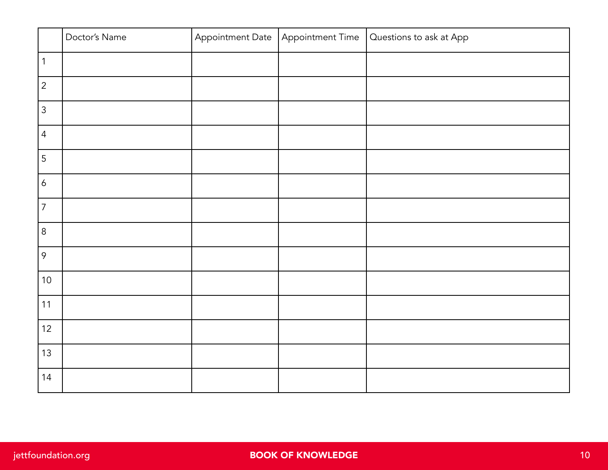|                  | Doctor's Name | Appointment Date | Appointment Time | Questions to ask at App |
|------------------|---------------|------------------|------------------|-------------------------|
| $\vert$ 1        |               |                  |                  |                         |
| $\overline{2}$   |               |                  |                  |                         |
| $\mathfrak{Z}$   |               |                  |                  |                         |
| $\overline{4}$   |               |                  |                  |                         |
| 5                |               |                  |                  |                         |
| $\boldsymbol{6}$ |               |                  |                  |                         |
| $\overline{7}$   |               |                  |                  |                         |
| $\,8\,$          |               |                  |                  |                         |
| 9                |               |                  |                  |                         |
| $10$             |               |                  |                  |                         |
| 11               |               |                  |                  |                         |
| 12               |               |                  |                  |                         |
| 13               |               |                  |                  |                         |
| 14               |               |                  |                  |                         |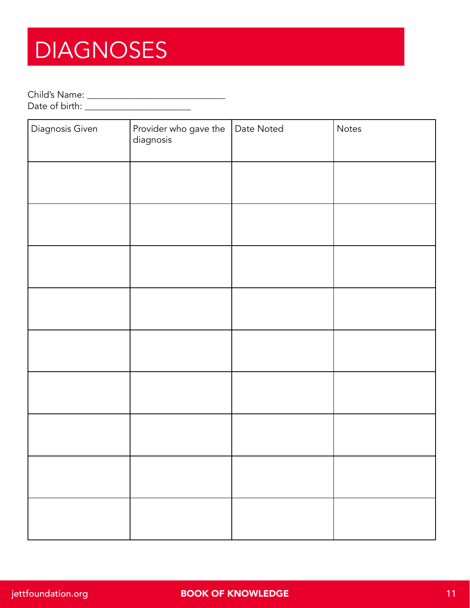## **DIAGNOSES**

Child's Name: \_\_\_\_\_\_\_\_\_\_\_\_\_\_\_\_\_\_\_\_\_\_\_\_\_\_\_\_\_\_

Date of birth: \_\_\_\_\_\_\_\_\_\_\_\_\_\_\_\_\_\_\_\_\_\_\_

| Diagnosis Given | Provider who gave the<br>diagnosis | Date Noted | Notes |
|-----------------|------------------------------------|------------|-------|
|                 |                                    |            |       |
|                 |                                    |            |       |
|                 |                                    |            |       |
|                 |                                    |            |       |
|                 |                                    |            |       |
|                 |                                    |            |       |
|                 |                                    |            |       |
|                 |                                    |            |       |
|                 |                                    |            |       |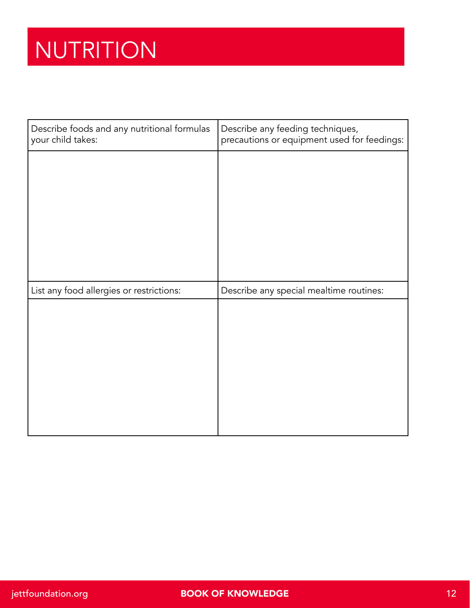## NUTRITION

| Describe foods and any nutritional formulas<br>your child takes: | Describe any feeding techniques,<br>precautions or equipment used for feedings: |
|------------------------------------------------------------------|---------------------------------------------------------------------------------|
|                                                                  |                                                                                 |
|                                                                  |                                                                                 |
|                                                                  |                                                                                 |
|                                                                  |                                                                                 |
|                                                                  |                                                                                 |
|                                                                  |                                                                                 |
| List any food allergies or restrictions:                         | Describe any special mealtime routines:                                         |
|                                                                  |                                                                                 |
|                                                                  |                                                                                 |
|                                                                  |                                                                                 |
|                                                                  |                                                                                 |
|                                                                  |                                                                                 |
|                                                                  |                                                                                 |
|                                                                  |                                                                                 |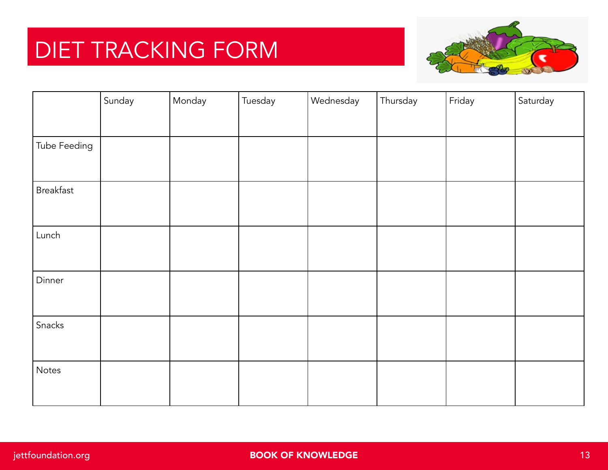## DIET TRACKING FORM



|              | Sunday | Monday | Tuesday | Wednesday | Thursday | Friday | Saturday |
|--------------|--------|--------|---------|-----------|----------|--------|----------|
|              |        |        |         |           |          |        |          |
| Tube Feeding |        |        |         |           |          |        |          |
|              |        |        |         |           |          |        |          |
| Breakfast    |        |        |         |           |          |        |          |
| Lunch        |        |        |         |           |          |        |          |
| Dinner       |        |        |         |           |          |        |          |
| Snacks       |        |        |         |           |          |        |          |
| Notes        |        |        |         |           |          |        |          |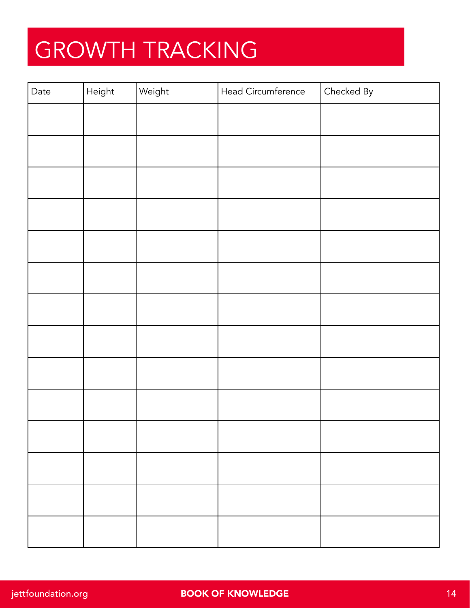## GROWTH TRACKING

| Date | Height | Weight | Head Circumference | Checked By |
|------|--------|--------|--------------------|------------|
|      |        |        |                    |            |
|      |        |        |                    |            |
|      |        |        |                    |            |
|      |        |        |                    |            |
|      |        |        |                    |            |
|      |        |        |                    |            |
|      |        |        |                    |            |
|      |        |        |                    |            |
|      |        |        |                    |            |
|      |        |        |                    |            |
|      |        |        |                    |            |
|      |        |        |                    |            |
|      |        |        |                    |            |
|      |        |        |                    |            |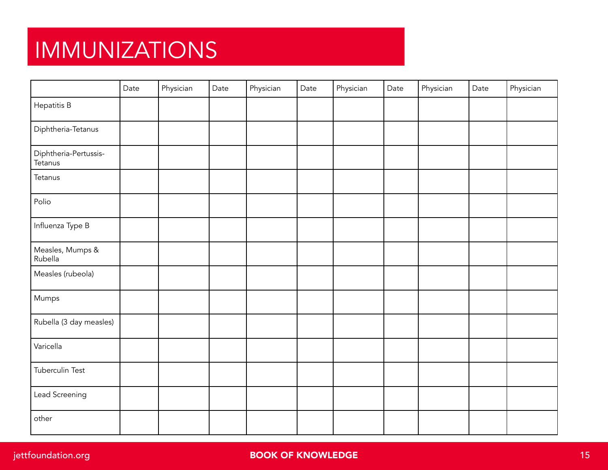## IMMUNIZATIONS

|                                  | Date | Physician | Date | Physician | Date | Physician | Date | Physician | Date | Physician |
|----------------------------------|------|-----------|------|-----------|------|-----------|------|-----------|------|-----------|
| Hepatitis B                      |      |           |      |           |      |           |      |           |      |           |
| Diphtheria-Tetanus               |      |           |      |           |      |           |      |           |      |           |
| Diphtheria-Pertussis-<br>Tetanus |      |           |      |           |      |           |      |           |      |           |
| Tetanus                          |      |           |      |           |      |           |      |           |      |           |
| Polio                            |      |           |      |           |      |           |      |           |      |           |
| Influenza Type B                 |      |           |      |           |      |           |      |           |      |           |
| Measles, Mumps &<br>Rubella      |      |           |      |           |      |           |      |           |      |           |
| Measles (rubeola)                |      |           |      |           |      |           |      |           |      |           |
| Mumps                            |      |           |      |           |      |           |      |           |      |           |
| Rubella (3 day measles)          |      |           |      |           |      |           |      |           |      |           |
| Varicella                        |      |           |      |           |      |           |      |           |      |           |
| Tuberculin Test                  |      |           |      |           |      |           |      |           |      |           |
| Lead Screening                   |      |           |      |           |      |           |      |           |      |           |
| other                            |      |           |      |           |      |           |      |           |      |           |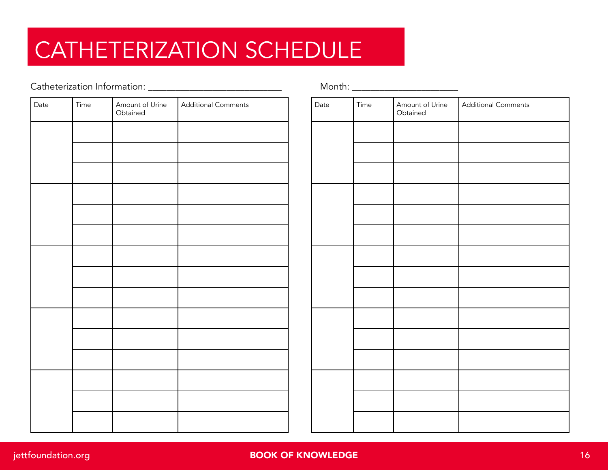## CATHETERIZATION SCHEDULE

#### Catheterization Information: \_\_\_\_\_\_\_\_\_\_\_\_\_\_\_\_\_\_\_\_\_\_\_\_\_\_\_\_\_ Month: \_\_\_\_\_\_\_\_\_\_\_\_\_\_\_\_\_\_\_\_\_\_\_

| Date | Time | Amount of Urine<br>Obtained | <b>Additional Comments</b> |
|------|------|-----------------------------|----------------------------|
|      |      |                             |                            |
|      |      |                             |                            |
|      |      |                             |                            |
|      |      |                             |                            |
|      |      |                             |                            |
|      |      |                             |                            |
|      |      |                             |                            |
|      |      |                             |                            |
|      |      |                             |                            |
|      |      |                             |                            |
|      |      |                             |                            |
|      |      |                             |                            |
|      |      |                             |                            |
|      |      |                             |                            |
|      |      |                             |                            |

| Additional Comments | Date | Time | Amount of Urine<br>Obtained | <b>Additional Comments</b> |
|---------------------|------|------|-----------------------------|----------------------------|
|                     |      |      |                             |                            |
|                     |      |      |                             |                            |
|                     |      |      |                             |                            |
|                     |      |      |                             |                            |
|                     |      |      |                             |                            |
|                     |      |      |                             |                            |
|                     |      |      |                             |                            |
|                     |      |      |                             |                            |
|                     |      |      |                             |                            |
|                     |      |      |                             |                            |
|                     |      |      |                             |                            |
|                     |      |      |                             |                            |
|                     |      |      |                             |                            |
|                     |      |      |                             |                            |
|                     |      |      |                             |                            |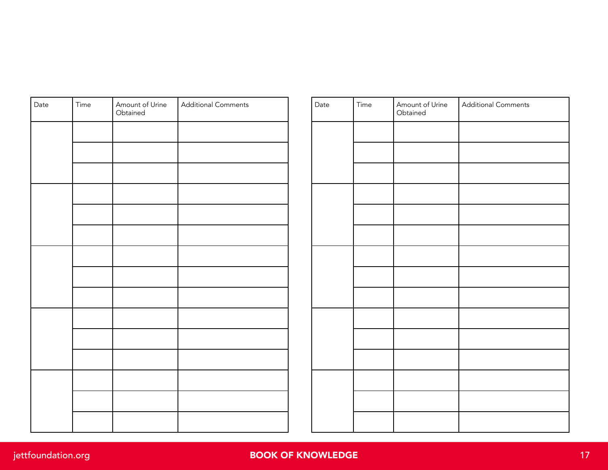| Date | Time | Amount of Urine<br>Obtained | <b>Additional Comments</b> |
|------|------|-----------------------------|----------------------------|
|      |      |                             |                            |
|      |      |                             |                            |
|      |      |                             |                            |
|      |      |                             |                            |
|      |      |                             |                            |
|      |      |                             |                            |
|      |      |                             |                            |
|      |      |                             |                            |
|      |      |                             |                            |
|      |      |                             |                            |
|      |      |                             |                            |
|      |      |                             |                            |
|      |      |                             |                            |
|      |      |                             |                            |
|      |      |                             |                            |

| Additional Comments | Date | Time | Amount of Urine<br>Obtained | Additional Comments |
|---------------------|------|------|-----------------------------|---------------------|
|                     |      |      |                             |                     |
|                     |      |      |                             |                     |
|                     |      |      |                             |                     |
|                     |      |      |                             |                     |
|                     |      |      |                             |                     |
|                     |      |      |                             |                     |
|                     |      |      |                             |                     |
|                     |      |      |                             |                     |
|                     |      |      |                             |                     |
|                     |      |      |                             |                     |
|                     |      |      |                             |                     |
|                     |      |      |                             |                     |
|                     |      |      |                             |                     |
|                     |      |      |                             |                     |
|                     |      |      |                             |                     |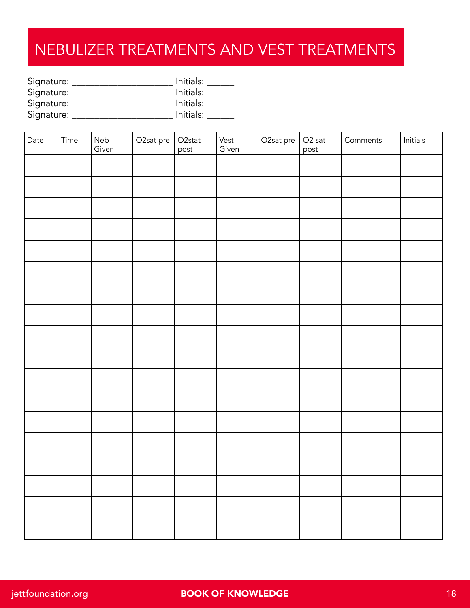#### NEBULIZER TREATMENTS AND VEST TREATMENTS

| Signature: | Initials: |
|------------|-----------|
| Signature: | Initials: |
| Signature: | Initials: |
| Signature: | Initials: |

| Date | Time | Neb<br>Given | O2sat pre | O <sub>2</sub> stat<br>post | Vest<br>Given | O2sat pre | $O2$ sat<br>post | Comments | $\quad \  \, \text{Initials} \quad \  \,$ |
|------|------|--------------|-----------|-----------------------------|---------------|-----------|------------------|----------|-------------------------------------------|
|      |      |              |           |                             |               |           |                  |          |                                           |
|      |      |              |           |                             |               |           |                  |          |                                           |
|      |      |              |           |                             |               |           |                  |          |                                           |
|      |      |              |           |                             |               |           |                  |          |                                           |
|      |      |              |           |                             |               |           |                  |          |                                           |
|      |      |              |           |                             |               |           |                  |          |                                           |
|      |      |              |           |                             |               |           |                  |          |                                           |
|      |      |              |           |                             |               |           |                  |          |                                           |
|      |      |              |           |                             |               |           |                  |          |                                           |
|      |      |              |           |                             |               |           |                  |          |                                           |
|      |      |              |           |                             |               |           |                  |          |                                           |
|      |      |              |           |                             |               |           |                  |          |                                           |
|      |      |              |           |                             |               |           |                  |          |                                           |
|      |      |              |           |                             |               |           |                  |          |                                           |
|      |      |              |           |                             |               |           |                  |          |                                           |
|      |      |              |           |                             |               |           |                  |          |                                           |
|      |      |              |           |                             |               |           |                  |          |                                           |
|      |      |              |           |                             |               |           |                  |          |                                           |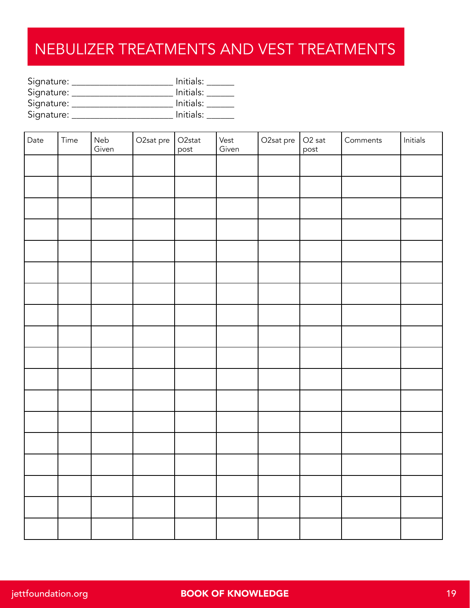#### NEBULIZER TREATMENTS AND VEST TREATMENTS

| Signature: | Initials: |
|------------|-----------|
| Signature: | Initials: |
| Signature: | Initials: |
| Signature: | Initials: |

| Date | Time | Neb<br>Given | O2sat pre | O <sub>2</sub> stat<br>post | Vest<br>Given | O2sat pre | $O2$ sat<br>post | Comments | $\quad \  \, \text{Initials} \quad \  \,$ |
|------|------|--------------|-----------|-----------------------------|---------------|-----------|------------------|----------|-------------------------------------------|
|      |      |              |           |                             |               |           |                  |          |                                           |
|      |      |              |           |                             |               |           |                  |          |                                           |
|      |      |              |           |                             |               |           |                  |          |                                           |
|      |      |              |           |                             |               |           |                  |          |                                           |
|      |      |              |           |                             |               |           |                  |          |                                           |
|      |      |              |           |                             |               |           |                  |          |                                           |
|      |      |              |           |                             |               |           |                  |          |                                           |
|      |      |              |           |                             |               |           |                  |          |                                           |
|      |      |              |           |                             |               |           |                  |          |                                           |
|      |      |              |           |                             |               |           |                  |          |                                           |
|      |      |              |           |                             |               |           |                  |          |                                           |
|      |      |              |           |                             |               |           |                  |          |                                           |
|      |      |              |           |                             |               |           |                  |          |                                           |
|      |      |              |           |                             |               |           |                  |          |                                           |
|      |      |              |           |                             |               |           |                  |          |                                           |
|      |      |              |           |                             |               |           |                  |          |                                           |
|      |      |              |           |                             |               |           |                  |          |                                           |
|      |      |              |           |                             |               |           |                  |          |                                           |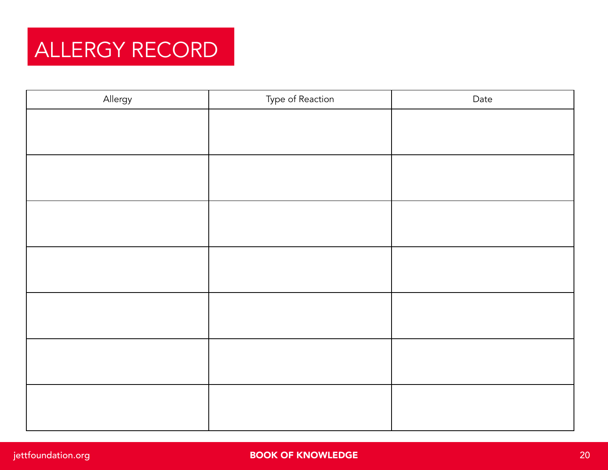

| Allergy | Type of Reaction | Date |
|---------|------------------|------|
|         |                  |      |
|         |                  |      |
|         |                  |      |
|         |                  |      |
|         |                  |      |
|         |                  |      |
|         |                  |      |
|         |                  |      |
|         |                  |      |
|         |                  |      |
|         |                  |      |
|         |                  |      |
|         |                  |      |
|         |                  |      |
|         |                  |      |
|         |                  |      |
|         |                  |      |
|         |                  |      |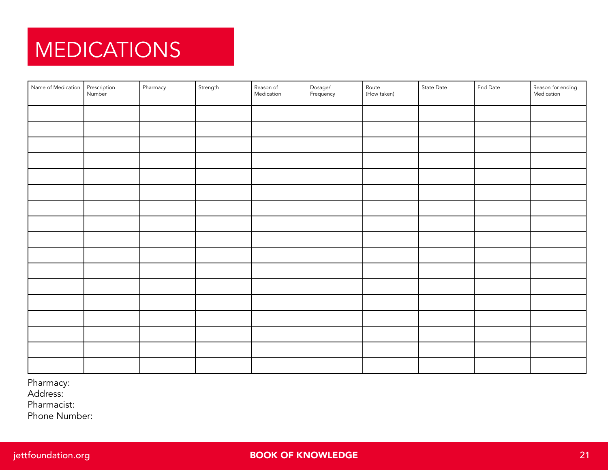## **MEDICATIONS**

| Name of Medication Prescription | Pharmacy | Strength | Reason of<br>Medication | Dosage/<br>Frequency | Route<br>(How taken) | State Date | End Date | Reason for ending<br>Medication |
|---------------------------------|----------|----------|-------------------------|----------------------|----------------------|------------|----------|---------------------------------|
|                                 |          |          |                         |                      |                      |            |          |                                 |
|                                 |          |          |                         |                      |                      |            |          |                                 |
|                                 |          |          |                         |                      |                      |            |          |                                 |
|                                 |          |          |                         |                      |                      |            |          |                                 |
|                                 |          |          |                         |                      |                      |            |          |                                 |
|                                 |          |          |                         |                      |                      |            |          |                                 |
|                                 |          |          |                         |                      |                      |            |          |                                 |
|                                 |          |          |                         |                      |                      |            |          |                                 |
|                                 |          |          |                         |                      |                      |            |          |                                 |
|                                 |          |          |                         |                      |                      |            |          |                                 |
|                                 |          |          |                         |                      |                      |            |          |                                 |
|                                 |          |          |                         |                      |                      |            |          |                                 |
|                                 |          |          |                         |                      |                      |            |          |                                 |
|                                 |          |          |                         |                      |                      |            |          |                                 |
|                                 |          |          |                         |                      |                      |            |          |                                 |
|                                 |          |          |                         |                      |                      |            |          |                                 |
|                                 |          |          |                         |                      |                      |            |          |                                 |

Pharmacy:

Address:

Pharmacist:

Phone Number: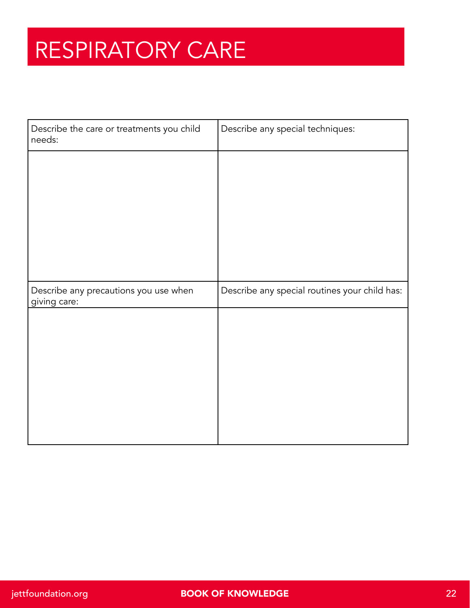## RESPIRATORY CARE

| Describe the care or treatments you child<br>needs: | Describe any special techniques:              |
|-----------------------------------------------------|-----------------------------------------------|
|                                                     |                                               |
|                                                     |                                               |
|                                                     |                                               |
|                                                     |                                               |
|                                                     |                                               |
|                                                     |                                               |
| Describe any precautions you use when               | Describe any special routines your child has: |
| giving care:                                        |                                               |
|                                                     |                                               |
|                                                     |                                               |
|                                                     |                                               |
|                                                     |                                               |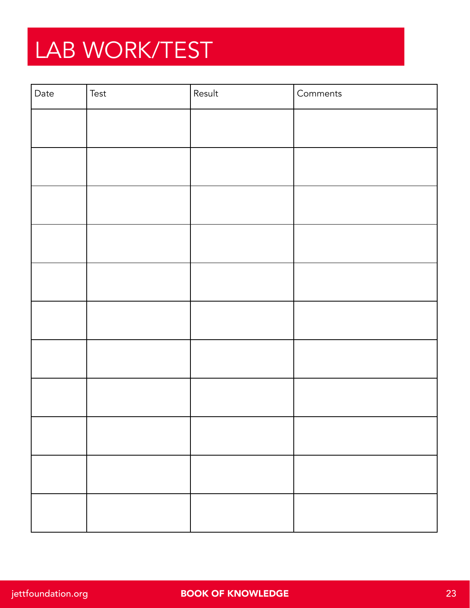## LAB WORK/TEST

| Date | Test | Result | Comments |
|------|------|--------|----------|
|      |      |        |          |
|      |      |        |          |
|      |      |        |          |
|      |      |        |          |
|      |      |        |          |
|      |      |        |          |
|      |      |        |          |
|      |      |        |          |
|      |      |        |          |
|      |      |        |          |
|      |      |        |          |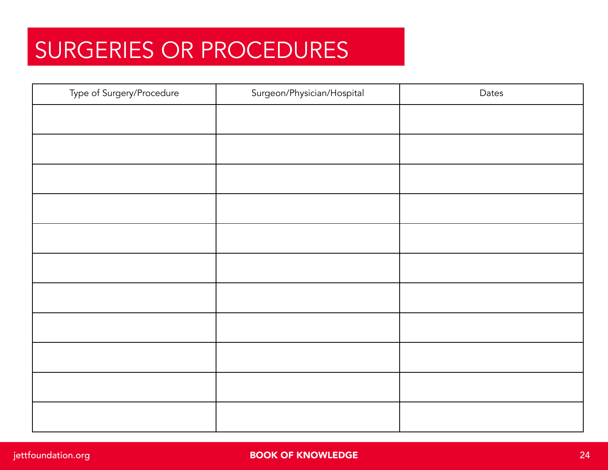## SURGERIES OR PROCEDURES

| Type of Surgery/Procedure | Surgeon/Physician/Hospital | Dates |
|---------------------------|----------------------------|-------|
|                           |                            |       |
|                           |                            |       |
|                           |                            |       |
|                           |                            |       |
|                           |                            |       |
|                           |                            |       |
|                           |                            |       |
|                           |                            |       |
|                           |                            |       |
|                           |                            |       |
|                           |                            |       |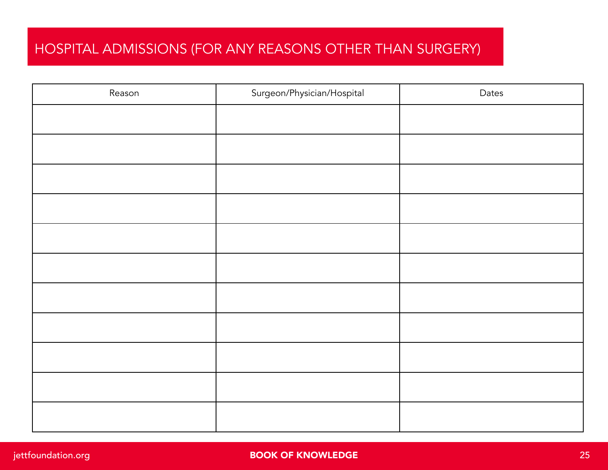#### HOSPITAL ADMISSIONS (FOR ANY REASONS OTHER THAN SURGERY)

| Reason | Surgeon/Physician/Hospital | Dates |
|--------|----------------------------|-------|
|        |                            |       |
|        |                            |       |
|        |                            |       |
|        |                            |       |
|        |                            |       |
|        |                            |       |
|        |                            |       |
|        |                            |       |
|        |                            |       |
|        |                            |       |
|        |                            |       |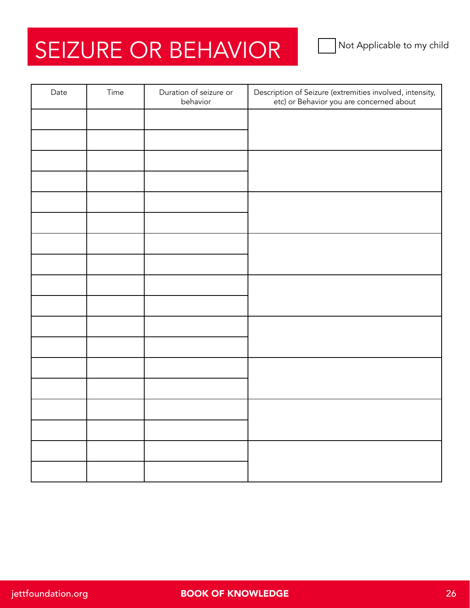## SEIZURE OR BEHAVIOR

| Date | Time | Duration of seizure or<br>behavior | Description of Seizure (extremities involved, intensity,<br>etc) or Behavior you are concerned about |
|------|------|------------------------------------|------------------------------------------------------------------------------------------------------|
|      |      |                                    |                                                                                                      |
|      |      |                                    |                                                                                                      |
|      |      |                                    |                                                                                                      |
|      |      |                                    |                                                                                                      |
|      |      |                                    |                                                                                                      |
|      |      |                                    |                                                                                                      |
|      |      |                                    |                                                                                                      |
|      |      |                                    |                                                                                                      |
|      |      |                                    |                                                                                                      |
|      |      |                                    |                                                                                                      |
|      |      |                                    |                                                                                                      |
|      |      |                                    |                                                                                                      |
|      |      |                                    |                                                                                                      |
|      |      |                                    |                                                                                                      |
|      |      |                                    |                                                                                                      |
|      |      |                                    |                                                                                                      |
|      |      |                                    |                                                                                                      |
|      |      |                                    |                                                                                                      |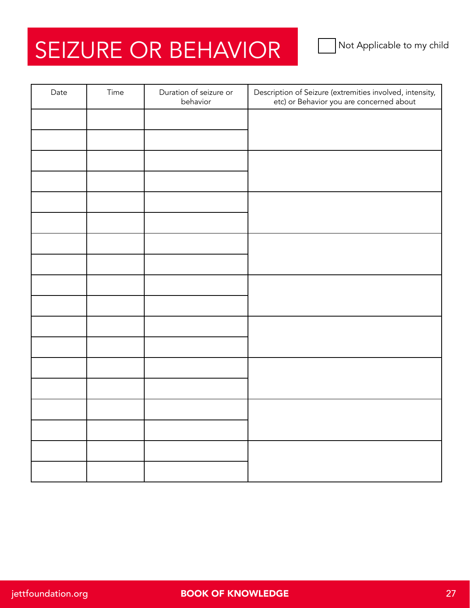## SEIZURE OR BEHAVIOR

| Date | Time | Duration of seizure or<br>behavior | Description of Seizure (extremities involved, intensity,<br>etc) or Behavior you are concerned about |
|------|------|------------------------------------|------------------------------------------------------------------------------------------------------|
|      |      |                                    |                                                                                                      |
|      |      |                                    |                                                                                                      |
|      |      |                                    |                                                                                                      |
|      |      |                                    |                                                                                                      |
|      |      |                                    |                                                                                                      |
|      |      |                                    |                                                                                                      |
|      |      |                                    |                                                                                                      |
|      |      |                                    |                                                                                                      |
|      |      |                                    |                                                                                                      |
|      |      |                                    |                                                                                                      |
|      |      |                                    |                                                                                                      |
|      |      |                                    |                                                                                                      |
|      |      |                                    |                                                                                                      |
|      |      |                                    |                                                                                                      |
|      |      |                                    |                                                                                                      |
|      |      |                                    |                                                                                                      |
|      |      |                                    |                                                                                                      |
|      |      |                                    |                                                                                                      |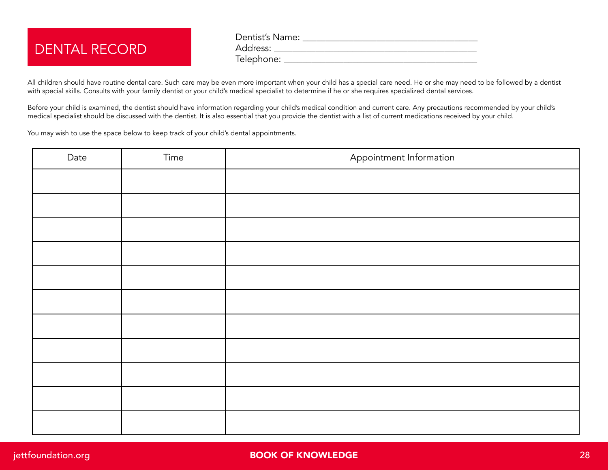#### DENTAL RECORD

Dentist's Name: \_\_\_\_\_\_\_\_\_\_\_\_\_\_\_\_\_\_\_\_\_\_\_\_\_\_\_\_\_\_\_\_\_\_\_\_\_\_ Address: \_\_\_\_\_\_\_\_\_\_\_\_\_\_\_\_\_\_\_\_\_\_\_\_\_\_\_\_\_\_\_\_\_\_\_\_\_\_\_\_\_\_\_\_ Telephone: \_\_\_\_\_\_\_\_\_\_\_\_\_\_\_\_\_\_\_\_\_\_\_\_\_\_\_\_\_\_\_\_\_\_\_\_\_\_\_\_\_\_

All children should have routine dental care. Such care may be even more important when your child has a special care need. He or she may need to be followed by a dentist with special skills. Consults with your family dentist or your child's medical specialist to determine if he or she requires specialized dental services.

Before your child is examined, the dentist should have information regarding your child's medical condition and current care. Any precautions recommended by your child's medical specialist should be discussed with the dentist. It is also essential that you provide the dentist with a list of current medications received by your child.

You may wish to use the space below to keep track of your child's dental appointments.

| Date | Time | Appointment Information |
|------|------|-------------------------|
|      |      |                         |
|      |      |                         |
|      |      |                         |
|      |      |                         |
|      |      |                         |
|      |      |                         |
|      |      |                         |
|      |      |                         |
|      |      |                         |
|      |      |                         |
|      |      |                         |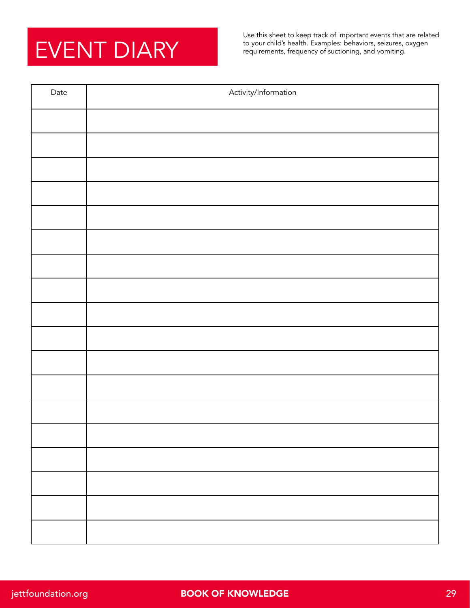## EVENT DIARY

Use this sheet to keep track of important events that are related to your child's health. Examples: behaviors, seizures, oxygen requirements, frequency of suctioning, and vomiting.

| Date | Activity/Information |
|------|----------------------|
|      |                      |
|      |                      |
|      |                      |
|      |                      |
|      |                      |
|      |                      |
|      |                      |
|      |                      |
|      |                      |
|      |                      |
|      |                      |
|      |                      |
|      |                      |
|      |                      |
|      |                      |
|      |                      |
|      |                      |
|      |                      |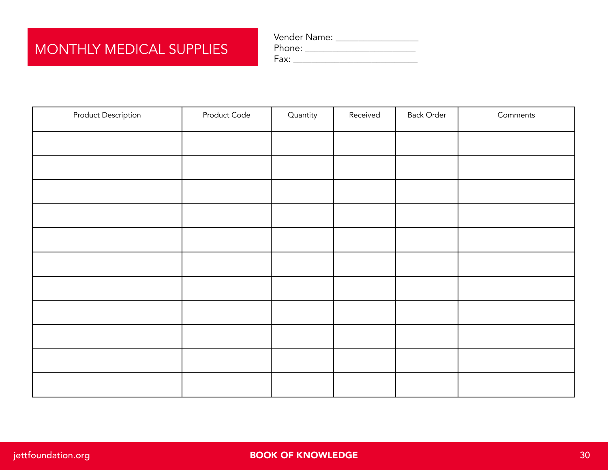#### MONTHLY MEDICAL SUPPLIES

| Vender Name: |  |
|--------------|--|
| Phone:       |  |
| Fax:         |  |

| <b>Product Description</b> | Product Code | Quantity | Received | <b>Back Order</b> | Comments |
|----------------------------|--------------|----------|----------|-------------------|----------|
|                            |              |          |          |                   |          |
|                            |              |          |          |                   |          |
|                            |              |          |          |                   |          |
|                            |              |          |          |                   |          |
|                            |              |          |          |                   |          |
|                            |              |          |          |                   |          |
|                            |              |          |          |                   |          |
|                            |              |          |          |                   |          |
|                            |              |          |          |                   |          |
|                            |              |          |          |                   |          |
|                            |              |          |          |                   |          |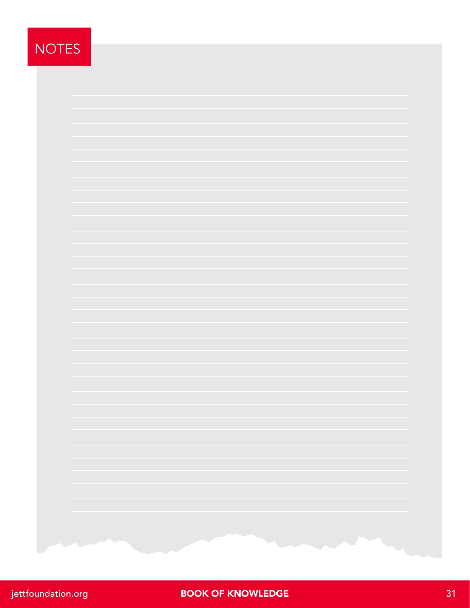#### NOTES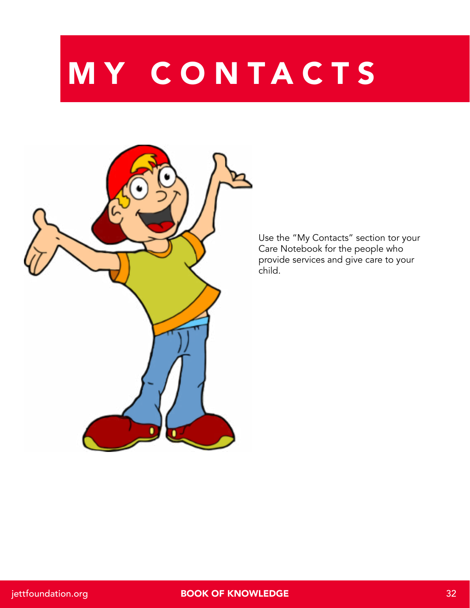# MY CONTACTS



Use the "My Contacts" section tor your Care Notebook for the people who provide services and give care to your child.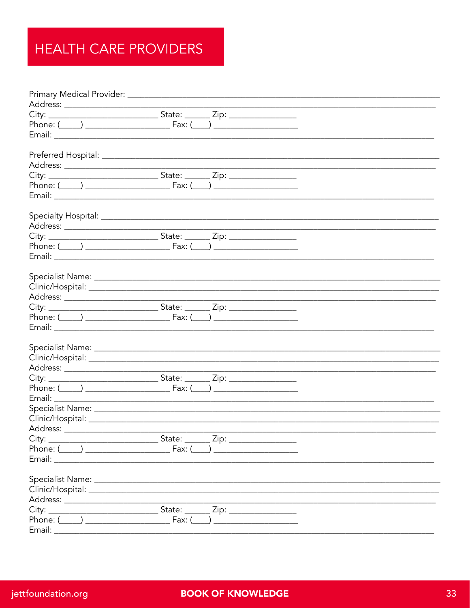#### HEALTH CARE PROVIDERS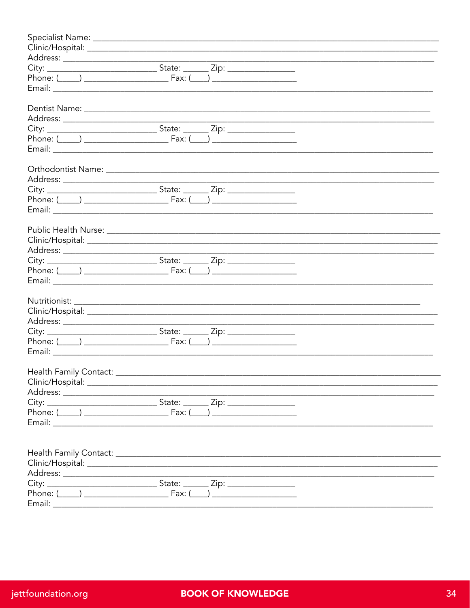| Phone: $(\_\_\_\_\_\_\_\_\_$ Fax: $(\_\_\_\_\_\_\_$ |  |  |
|-----------------------------------------------------|--|--|
|                                                     |  |  |
|                                                     |  |  |
|                                                     |  |  |
|                                                     |  |  |
|                                                     |  |  |
|                                                     |  |  |
|                                                     |  |  |
|                                                     |  |  |
|                                                     |  |  |
|                                                     |  |  |
|                                                     |  |  |
|                                                     |  |  |
|                                                     |  |  |
|                                                     |  |  |
|                                                     |  |  |
|                                                     |  |  |
|                                                     |  |  |
|                                                     |  |  |
|                                                     |  |  |
|                                                     |  |  |
|                                                     |  |  |
|                                                     |  |  |
|                                                     |  |  |
|                                                     |  |  |
|                                                     |  |  |
|                                                     |  |  |
|                                                     |  |  |
|                                                     |  |  |
|                                                     |  |  |
|                                                     |  |  |
|                                                     |  |  |
|                                                     |  |  |
|                                                     |  |  |
|                                                     |  |  |
|                                                     |  |  |
|                                                     |  |  |
|                                                     |  |  |
|                                                     |  |  |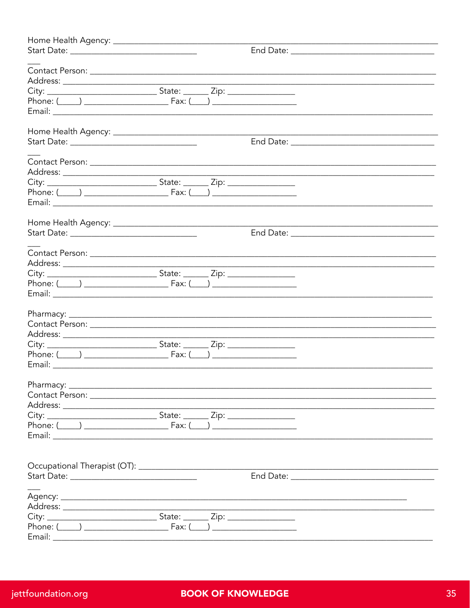| Contact Person: 2008 and 2008 and 2008 and 2008 and 2008 and 2008 and 2008 and 2008 and 2008 and 2008 and 2008 |  |                                                                                                                       |  |
|----------------------------------------------------------------------------------------------------------------|--|-----------------------------------------------------------------------------------------------------------------------|--|
|                                                                                                                |  |                                                                                                                       |  |
|                                                                                                                |  |                                                                                                                       |  |
|                                                                                                                |  |                                                                                                                       |  |
|                                                                                                                |  |                                                                                                                       |  |
|                                                                                                                |  |                                                                                                                       |  |
|                                                                                                                |  |                                                                                                                       |  |
|                                                                                                                |  |                                                                                                                       |  |
|                                                                                                                |  |                                                                                                                       |  |
|                                                                                                                |  |                                                                                                                       |  |
|                                                                                                                |  |                                                                                                                       |  |
|                                                                                                                |  |                                                                                                                       |  |
|                                                                                                                |  |                                                                                                                       |  |
|                                                                                                                |  |                                                                                                                       |  |
|                                                                                                                |  |                                                                                                                       |  |
|                                                                                                                |  |                                                                                                                       |  |
|                                                                                                                |  |                                                                                                                       |  |
|                                                                                                                |  |                                                                                                                       |  |
|                                                                                                                |  |                                                                                                                       |  |
|                                                                                                                |  | <u> 1989 - Johann Stoff, deutscher Stoff, der Stoff, der Stoff, der Stoff, der Stoff, der Stoff, der Stoff, der S</u> |  |
|                                                                                                                |  |                                                                                                                       |  |
| Phone: $(\_\_\_\_$                                                                                             |  |                                                                                                                       |  |
|                                                                                                                |  |                                                                                                                       |  |
| Email:                                                                                                         |  |                                                                                                                       |  |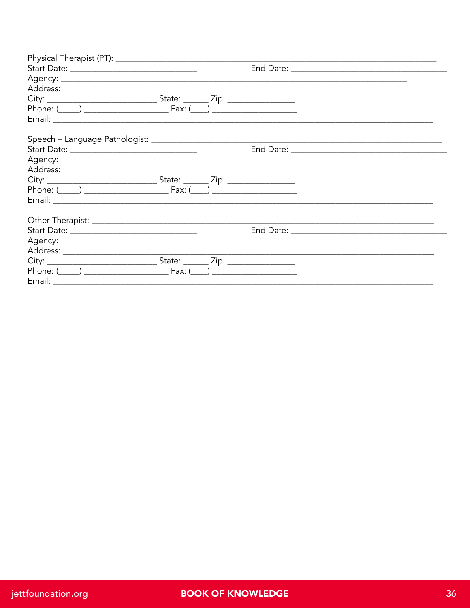| Phone: $( )$ Eax: $( )$                                                                                                                                                                                                        |  |                                                   |  |
|--------------------------------------------------------------------------------------------------------------------------------------------------------------------------------------------------------------------------------|--|---------------------------------------------------|--|
|                                                                                                                                                                                                                                |  |                                                   |  |
|                                                                                                                                                                                                                                |  |                                                   |  |
|                                                                                                                                                                                                                                |  | End Date: <u>________________________________</u> |  |
|                                                                                                                                                                                                                                |  |                                                   |  |
|                                                                                                                                                                                                                                |  |                                                   |  |
|                                                                                                                                                                                                                                |  |                                                   |  |
|                                                                                                                                                                                                                                |  |                                                   |  |
| Email: Email: Email: Email: Email: Email: Email: Email: Email: Email: Email: Email: Email: Email: Email: Email: Email: Email: Email: Email: Email: Email: Email: Email: Email: Email: Email: Email: Email: Email: Email: Email |  |                                                   |  |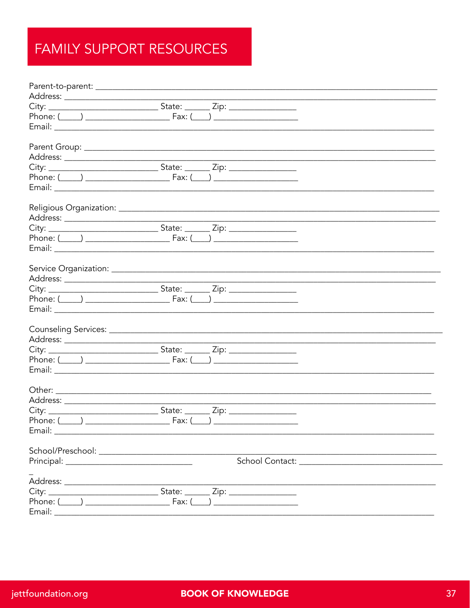#### FAMILY SUPPORT RESOURCES

|        | Phone: $(\_\_\_\_$                                |  |  |
|--------|---------------------------------------------------|--|--|
|        |                                                   |  |  |
|        |                                                   |  |  |
|        |                                                   |  |  |
|        |                                                   |  |  |
|        |                                                   |  |  |
|        |                                                   |  |  |
|        |                                                   |  |  |
|        |                                                   |  |  |
|        |                                                   |  |  |
|        |                                                   |  |  |
|        |                                                   |  |  |
|        |                                                   |  |  |
|        |                                                   |  |  |
|        |                                                   |  |  |
|        |                                                   |  |  |
|        |                                                   |  |  |
|        |                                                   |  |  |
|        |                                                   |  |  |
|        | Phone: $(\_\_\_\_\_\_\_\_\_$ Fax: $(\_\_\_\_\_\_$ |  |  |
|        |                                                   |  |  |
|        |                                                   |  |  |
|        |                                                   |  |  |
|        |                                                   |  |  |
|        |                                                   |  |  |
|        |                                                   |  |  |
|        |                                                   |  |  |
|        |                                                   |  |  |
|        |                                                   |  |  |
|        |                                                   |  |  |
|        |                                                   |  |  |
|        |                                                   |  |  |
|        |                                                   |  |  |
| Email: |                                                   |  |  |
|        |                                                   |  |  |
|        |                                                   |  |  |
|        |                                                   |  |  |
|        |                                                   |  |  |
|        |                                                   |  |  |
|        |                                                   |  |  |
|        |                                                   |  |  |
| Fmail: |                                                   |  |  |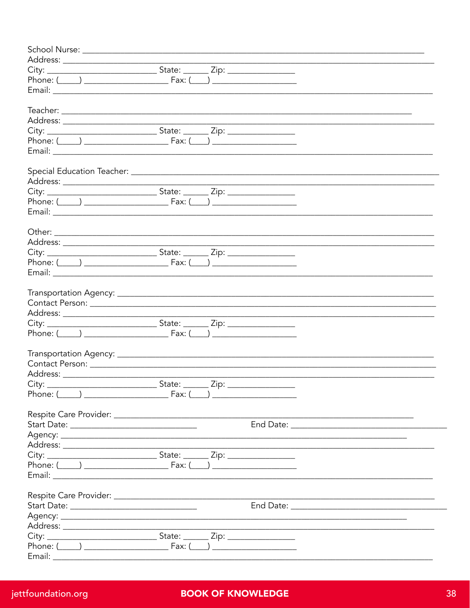|        | Phone: $( )$ Eax: $( )$ |  |  |
|--------|-------------------------|--|--|
|        |                         |  |  |
|        |                         |  |  |
|        |                         |  |  |
|        |                         |  |  |
|        |                         |  |  |
|        |                         |  |  |
| Phone: | Fax:                    |  |  |
|        |                         |  |  |
|        |                         |  |  |
|        |                         |  |  |
|        |                         |  |  |
|        |                         |  |  |
|        |                         |  |  |
|        |                         |  |  |
|        |                         |  |  |
|        |                         |  |  |
|        |                         |  |  |
|        |                         |  |  |
|        |                         |  |  |
|        |                         |  |  |
|        |                         |  |  |
|        |                         |  |  |
|        |                         |  |  |
| Fmail: |                         |  |  |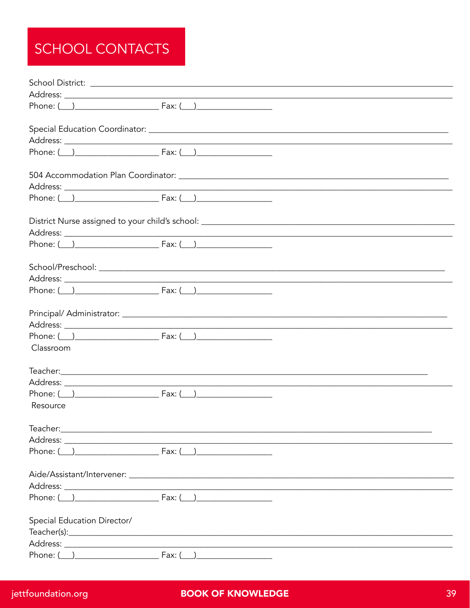#### SCHOOL CONTACTS

|                                   | School District:                                                                                                |  |
|-----------------------------------|-----------------------------------------------------------------------------------------------------------------|--|
|                                   |                                                                                                                 |  |
|                                   | Phone: $( )$ Fax: $( )$                                                                                         |  |
|                                   |                                                                                                                 |  |
|                                   |                                                                                                                 |  |
|                                   |                                                                                                                 |  |
|                                   |                                                                                                                 |  |
|                                   |                                                                                                                 |  |
|                                   |                                                                                                                 |  |
|                                   |                                                                                                                 |  |
|                                   |                                                                                                                 |  |
|                                   |                                                                                                                 |  |
|                                   |                                                                                                                 |  |
|                                   |                                                                                                                 |  |
|                                   | $Phone: ( )$ $Fax: ( )$                                                                                         |  |
|                                   | Principal/ Administrator: National Administrator of the Administrator of the Administrator of the Administrator |  |
|                                   |                                                                                                                 |  |
|                                   |                                                                                                                 |  |
| Classroom                         |                                                                                                                 |  |
|                                   |                                                                                                                 |  |
|                                   |                                                                                                                 |  |
|                                   |                                                                                                                 |  |
| Resource                          |                                                                                                                 |  |
|                                   |                                                                                                                 |  |
|                                   |                                                                                                                 |  |
|                                   |                                                                                                                 |  |
|                                   |                                                                                                                 |  |
|                                   |                                                                                                                 |  |
|                                   |                                                                                                                 |  |
| Special Education Director/       |                                                                                                                 |  |
|                                   |                                                                                                                 |  |
|                                   |                                                                                                                 |  |
| $Phone'$ $\qquad$ $Fax'$ $\qquad$ |                                                                                                                 |  |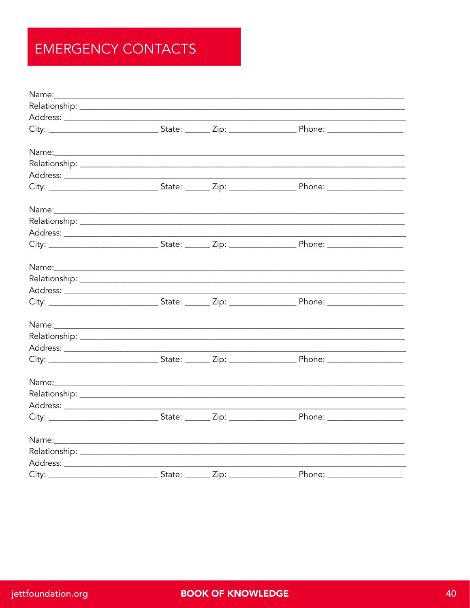#### **EMERGENCY CONTACTS**

|                   |  | Name: Name: Name: Name: Name: Name: Name: Name: Name: Name: Name: Name: Name: Name: Name: Name: Name: Name: Name: Name: Name: Name: Name: Name: Name: Name: Name: Name: Name: Name: Name: Name: Name: Name: Name: Name: Name: |  |
|-------------------|--|-------------------------------------------------------------------------------------------------------------------------------------------------------------------------------------------------------------------------------|--|
|                   |  |                                                                                                                                                                                                                               |  |
|                   |  |                                                                                                                                                                                                                               |  |
|                   |  |                                                                                                                                                                                                                               |  |
|                   |  |                                                                                                                                                                                                                               |  |
|                   |  |                                                                                                                                                                                                                               |  |
|                   |  |                                                                                                                                                                                                                               |  |
|                   |  |                                                                                                                                                                                                                               |  |
|                   |  |                                                                                                                                                                                                                               |  |
|                   |  |                                                                                                                                                                                                                               |  |
|                   |  |                                                                                                                                                                                                                               |  |
|                   |  |                                                                                                                                                                                                                               |  |
|                   |  |                                                                                                                                                                                                                               |  |
|                   |  |                                                                                                                                                                                                                               |  |
|                   |  |                                                                                                                                                                                                                               |  |
|                   |  |                                                                                                                                                                                                                               |  |
|                   |  |                                                                                                                                                                                                                               |  |
|                   |  |                                                                                                                                                                                                                               |  |
|                   |  |                                                                                                                                                                                                                               |  |
| City: State: Zip: |  | Phone:                                                                                                                                                                                                                        |  |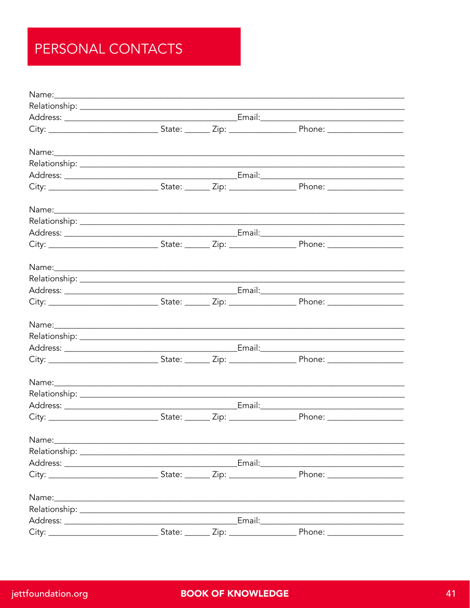#### PERSONAL CONTACTS

| Name: | <u> 1989 - John Stoff, deutscher Stoff, der Stoff, der Stoff, der Stoff, der Stoff, der Stoff, der Stoff, der Sto</u> |      |               |        |  |
|-------|-----------------------------------------------------------------------------------------------------------------------|------|---------------|--------|--|
|       |                                                                                                                       |      |               |        |  |
|       |                                                                                                                       |      |               |        |  |
|       |                                                                                                                       |      |               |        |  |
| Name: |                                                                                                                       |      |               |        |  |
|       |                                                                                                                       |      |               |        |  |
|       |                                                                                                                       |      | Email:_______ |        |  |
| City: | State:                                                                                                                | Zip: |               | Phone: |  |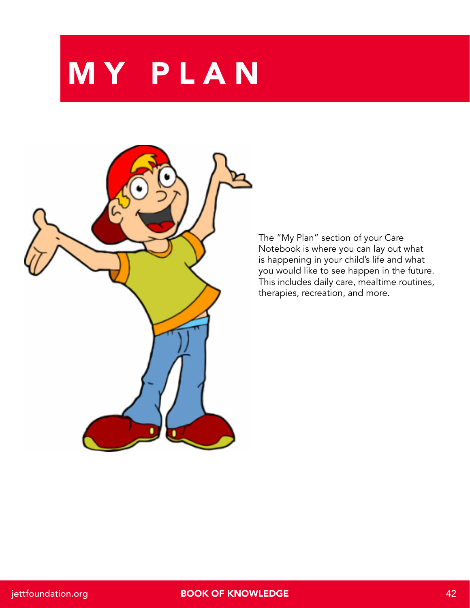**MY PLAN** 



The "My Plan" section of your Care Notebook is where you can lay out what is happening in your child's life and what you would like to see happen in the future. This includes daily care, mealtime routines, therapies, recreation, and more.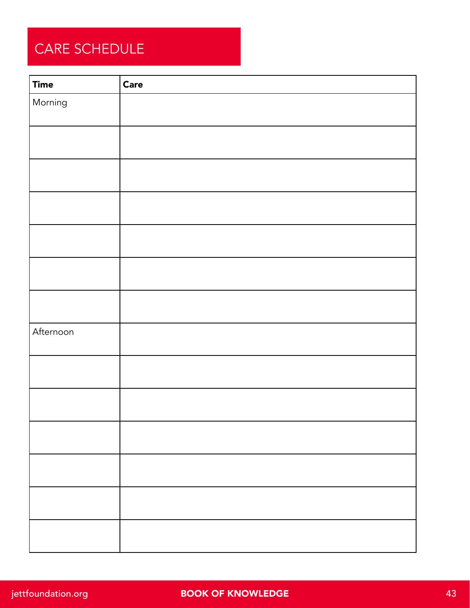#### CARE SCHEDULE

| <b>Time</b> | <b>Care</b> |
|-------------|-------------|
| Morning     |             |
|             |             |
|             |             |
|             |             |
|             |             |
|             |             |
|             |             |
|             |             |
|             |             |
|             |             |
|             |             |
|             |             |
| Afternoon   |             |
|             |             |
|             |             |
|             |             |
|             |             |
|             |             |
|             |             |
|             |             |
|             |             |
|             |             |
|             |             |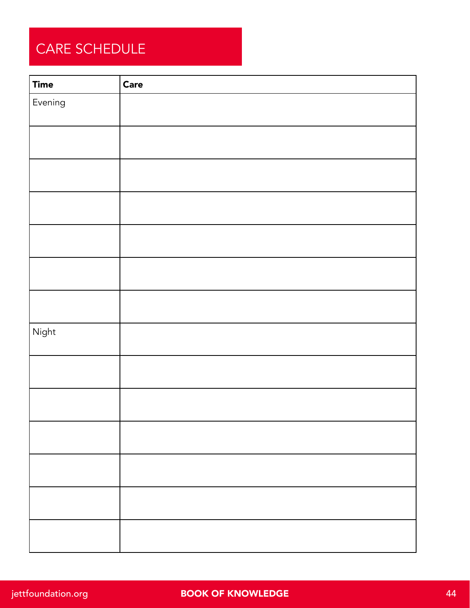#### CARE SCHEDULE

| <b>Time</b> | Care |
|-------------|------|
| Evening     |      |
|             |      |
|             |      |
|             |      |
|             |      |
|             |      |
|             |      |
|             |      |
|             |      |
|             |      |
|             |      |
|             |      |
| Night       |      |
|             |      |
|             |      |
|             |      |
|             |      |
|             |      |
|             |      |
|             |      |
|             |      |
|             |      |
|             |      |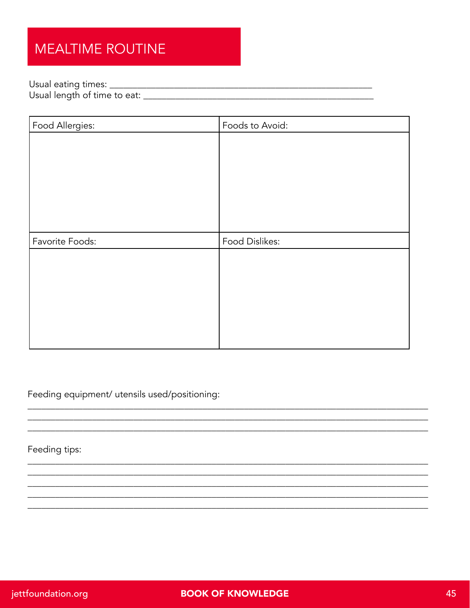#### **MEALTIME ROUTINE**

| Food Allergies: | Foods to Avoid: |
|-----------------|-----------------|
|                 |                 |
|                 |                 |
|                 |                 |
|                 |                 |
|                 |                 |
|                 |                 |
|                 |                 |
| Favorite Foods: | Food Dislikes:  |
|                 |                 |
|                 |                 |
|                 |                 |
|                 |                 |
|                 |                 |

Feeding equipment/ utensils used/positioning:

Feeding tips: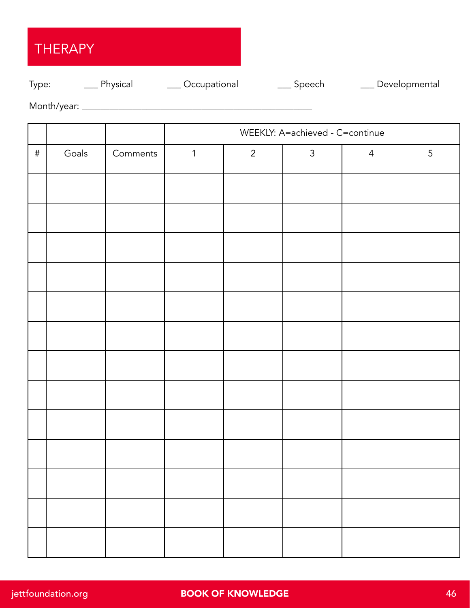#### THERAPY

#### Type: \_\_\_\_ Physical \_\_\_\_ Occupational \_\_\_\_ Speech \_\_\_\_ Developmental

Month/year: \_\_\_\_\_\_\_\_\_\_\_\_\_\_\_\_\_\_\_\_\_\_\_\_\_\_\_\_\_\_\_\_\_\_\_\_\_\_\_\_\_\_\_\_\_\_\_\_\_\_

|      |       |          |              |             | WEEKLY: A=achieved - C=continue |                |   |
|------|-------|----------|--------------|-------------|---------------------------------|----------------|---|
| $\#$ | Goals | Comments | $\mathbf{1}$ | $2^{\circ}$ | $\mathfrak{Z}$                  | $\overline{4}$ | 5 |
|      |       |          |              |             |                                 |                |   |
|      |       |          |              |             |                                 |                |   |
|      |       |          |              |             |                                 |                |   |
|      |       |          |              |             |                                 |                |   |
|      |       |          |              |             |                                 |                |   |
|      |       |          |              |             |                                 |                |   |
|      |       |          |              |             |                                 |                |   |
|      |       |          |              |             |                                 |                |   |
|      |       |          |              |             |                                 |                |   |
|      |       |          |              |             |                                 |                |   |
|      |       |          |              |             |                                 |                |   |
|      |       |          |              |             |                                 |                |   |
|      |       |          |              |             |                                 |                |   |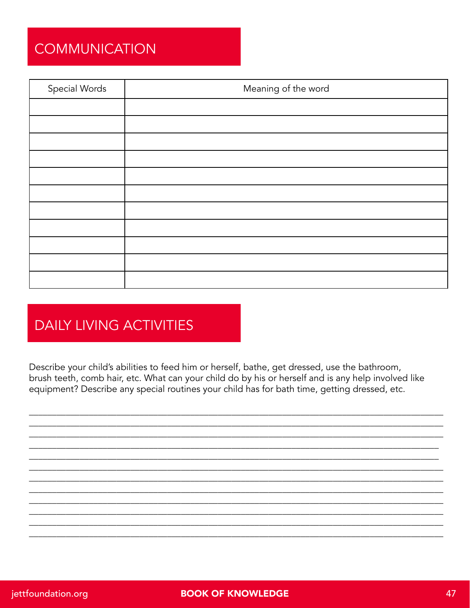#### **COMMUNICATION**

| Special Words | Meaning of the word |
|---------------|---------------------|
|               |                     |
|               |                     |
|               |                     |
|               |                     |
|               |                     |
|               |                     |
|               |                     |
|               |                     |
|               |                     |
|               |                     |
|               |                     |

#### **DAILY LIVING ACTIVITIES**

Describe your child's abilities to feed him or herself, bathe, get dressed, use the bathroom, brush teeth, comb hair, etc. What can your child do by his or herself and is any help involved like equipment? Describe any special routines your child has for bath time, getting dressed, etc.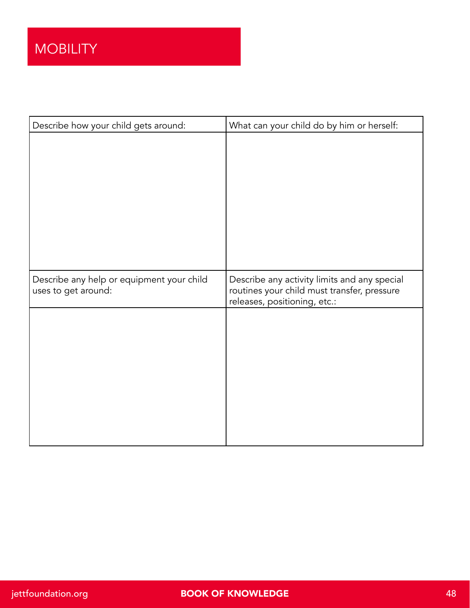| Describe how your child gets around:      | What can your child do by him or herself:                                   |
|-------------------------------------------|-----------------------------------------------------------------------------|
|                                           |                                                                             |
|                                           |                                                                             |
|                                           |                                                                             |
|                                           |                                                                             |
|                                           |                                                                             |
|                                           |                                                                             |
|                                           |                                                                             |
| Describe any help or equipment your child | Describe any activity limits and any special                                |
| uses to get around:                       | routines your child must transfer, pressure<br>releases, positioning, etc.: |
|                                           |                                                                             |
|                                           |                                                                             |
|                                           |                                                                             |
|                                           |                                                                             |
|                                           |                                                                             |
|                                           |                                                                             |
|                                           |                                                                             |
|                                           |                                                                             |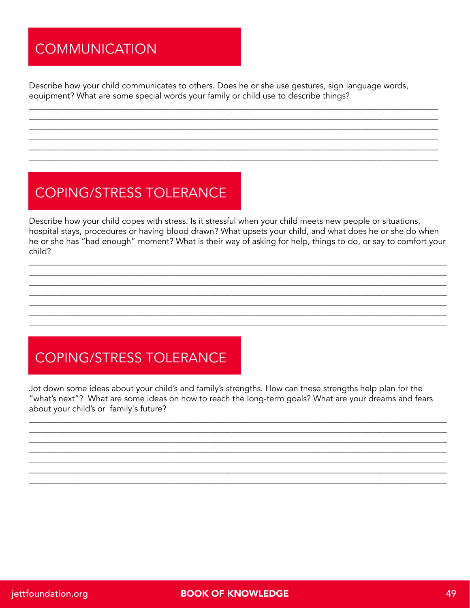#### **COMMUNICATION**

Describe how your child communicates to others. Does he or she use gestures, sign language words, equipment? What are some special words your family or child use to describe things?

#### **COPING/STRESS TOLERANCE**

Describe how your child copes with stress. Is it stressful when your child meets new people or situations, hospital stays, procedures or having blood drawn? What upsets your child, and what does he or she do when he or she has "had enough" moment? What is their way of asking for help, things to do, or say to comfort your child?

#### **COPING/STRESS TOLERANCE**

Jot down some ideas about your child's and family's strengths. How can these strengths help plan for the "what's next"? What are some ideas on how to reach the long-term goals? What are your dreams and fears about your child's or family's future?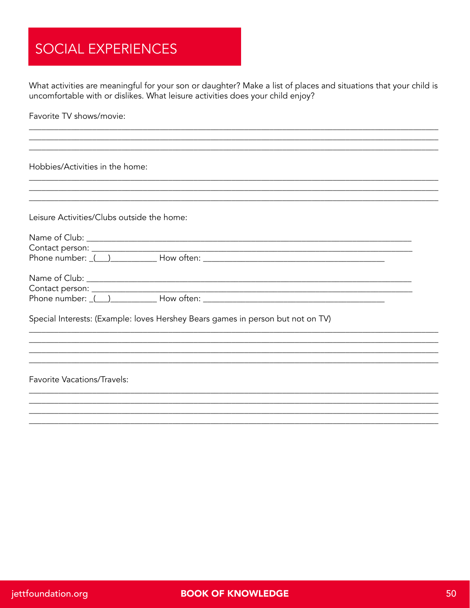#### **SOCIAL EXPERIENCES**

What activities are meaningful for your son or daughter? Make a list of places and situations that your child is uncomfortable with or dislikes. What leisure activities does your child enjoy?

Favorite TV shows/movie:

Hobbies/Activities in the home:

Leisure Activities/Clubs outside the home:

| $\textsf{Context}$ person: $\_$                                              |                                                                                                                                                                                                                                |
|------------------------------------------------------------------------------|--------------------------------------------------------------------------------------------------------------------------------------------------------------------------------------------------------------------------------|
| Phone number: $($ )                                                          |                                                                                                                                                                                                                                |
| Name of Club: ____________________<br>Contact person: _<br>Phone number: ( ) | How often: the contract of the contract of the contract of the contract of the contract of the contract of the contract of the contract of the contract of the contract of the contract of the contract of the contract of the |

Special Interests: (Example: loves Hershey Bears games in person but not on TV)

**Favorite Vacations/Travels:**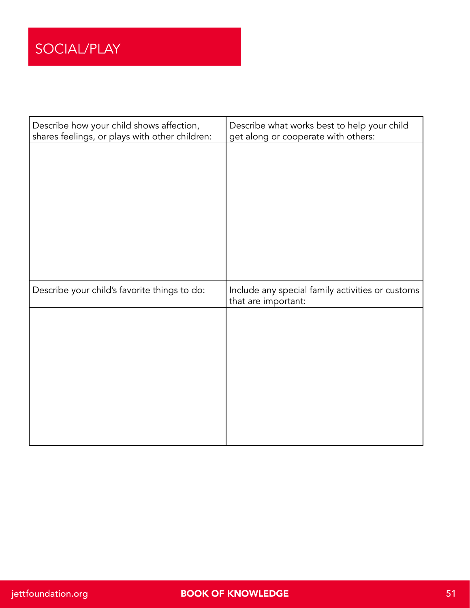| Describe how your child shows affection,<br>shares feelings, or plays with other children: | Describe what works best to help your child<br>get along or cooperate with others: |
|--------------------------------------------------------------------------------------------|------------------------------------------------------------------------------------|
|                                                                                            |                                                                                    |
|                                                                                            |                                                                                    |
|                                                                                            |                                                                                    |
|                                                                                            |                                                                                    |
|                                                                                            |                                                                                    |
|                                                                                            |                                                                                    |
|                                                                                            |                                                                                    |
| Describe your child's favorite things to do:                                               | Include any special family activities or customs<br>that are important:            |
|                                                                                            |                                                                                    |
|                                                                                            |                                                                                    |
|                                                                                            |                                                                                    |
|                                                                                            |                                                                                    |
|                                                                                            |                                                                                    |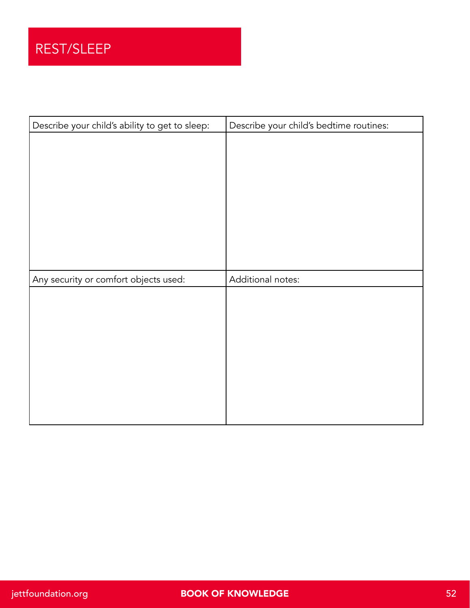| Describe your child's ability to get to sleep: | Describe your child's bedtime routines: |
|------------------------------------------------|-----------------------------------------|
|                                                |                                         |
|                                                |                                         |
|                                                |                                         |
|                                                |                                         |
|                                                |                                         |
|                                                |                                         |
|                                                |                                         |
|                                                |                                         |
|                                                |                                         |
|                                                | Additional notes:                       |
| Any security or comfort objects used:          |                                         |
|                                                |                                         |
|                                                |                                         |
|                                                |                                         |
|                                                |                                         |
|                                                |                                         |
|                                                |                                         |
|                                                |                                         |
|                                                |                                         |
|                                                |                                         |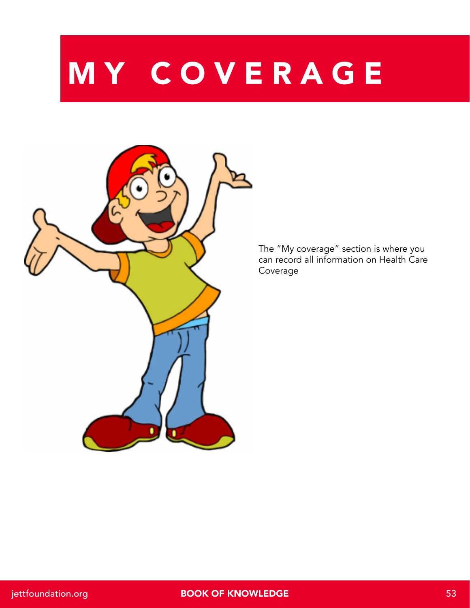# MY COVERAGE



The "My coverage" section is where you can record all information on Health Care Coverage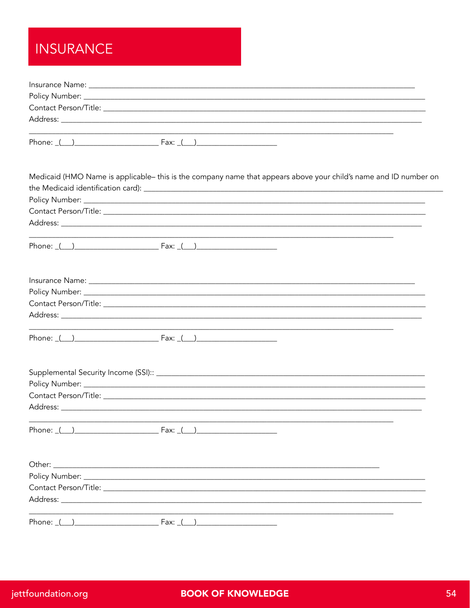#### **INSURANCE**

|          | Medicaid (HMO Name is applicable– this is the company name that appears above your child's name and ID number on     |  |
|----------|----------------------------------------------------------------------------------------------------------------------|--|
|          |                                                                                                                      |  |
|          |                                                                                                                      |  |
|          |                                                                                                                      |  |
|          |                                                                                                                      |  |
|          |                                                                                                                      |  |
|          |                                                                                                                      |  |
|          |                                                                                                                      |  |
|          |                                                                                                                      |  |
|          | Phone: $( )$                                                                                                         |  |
|          |                                                                                                                      |  |
|          |                                                                                                                      |  |
|          |                                                                                                                      |  |
|          |                                                                                                                      |  |
|          | Phone: ( ) Fax: ( )                                                                                                  |  |
| Other:   | <u> 1989 - Jan James James James James James James James James James James James James James James James James J</u> |  |
|          |                                                                                                                      |  |
|          |                                                                                                                      |  |
|          |                                                                                                                      |  |
| Phone: ( | Fax: (                                                                                                               |  |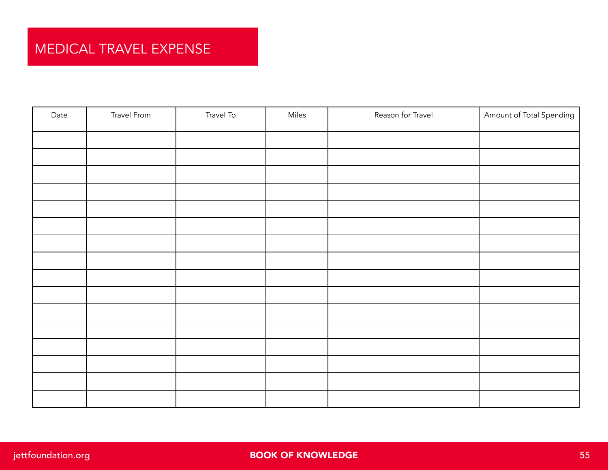| Date | Travel From | Travel To | Miles | Reason for Travel | Amount of Total Spending |
|------|-------------|-----------|-------|-------------------|--------------------------|
|      |             |           |       |                   |                          |
|      |             |           |       |                   |                          |
|      |             |           |       |                   |                          |
|      |             |           |       |                   |                          |
|      |             |           |       |                   |                          |
|      |             |           |       |                   |                          |
|      |             |           |       |                   |                          |
|      |             |           |       |                   |                          |
|      |             |           |       |                   |                          |
|      |             |           |       |                   |                          |
|      |             |           |       |                   |                          |
|      |             |           |       |                   |                          |
|      |             |           |       |                   |                          |
|      |             |           |       |                   |                          |
|      |             |           |       |                   |                          |
|      |             |           |       |                   |                          |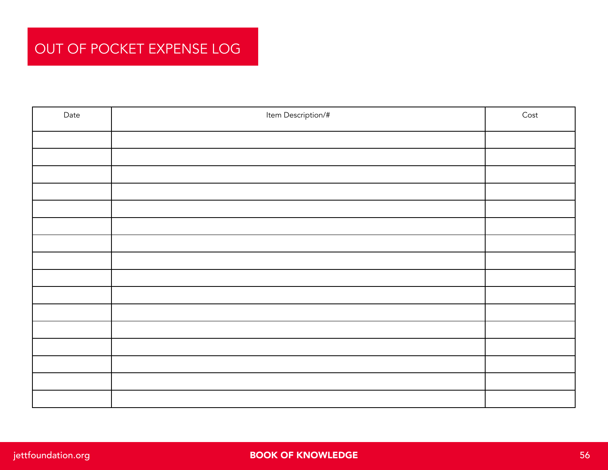#### OUT OF POCKET EXPENSE LOG

| Date | Item Description/# | Cost |
|------|--------------------|------|
|      |                    |      |
|      |                    |      |
|      |                    |      |
|      |                    |      |
|      |                    |      |
|      |                    |      |
|      |                    |      |
|      |                    |      |
|      |                    |      |
|      |                    |      |
|      |                    |      |
|      |                    |      |
|      |                    |      |
|      |                    |      |
|      |                    |      |
|      |                    |      |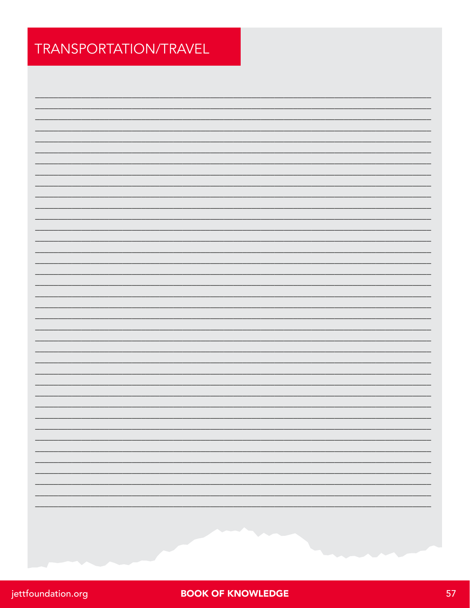#### TRANSPORTATION/TRAVEL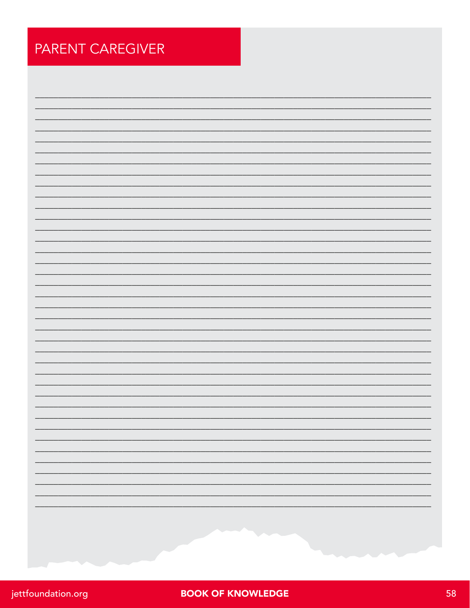| <b>PARENT CAREGIVER</b> |
|-------------------------|
|                         |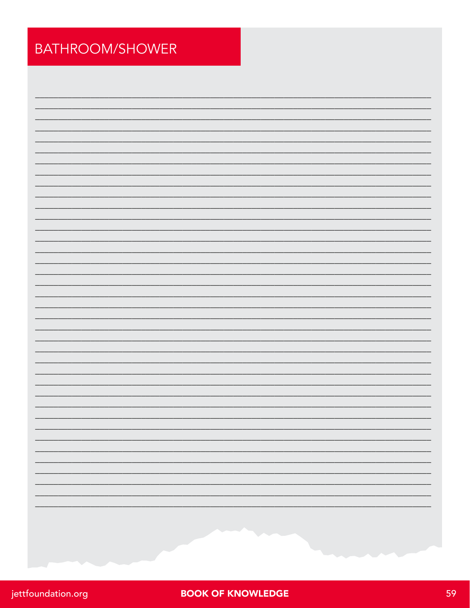#### BATHROOM/SHOWER

| jettfoundation.org |  |
|--------------------|--|